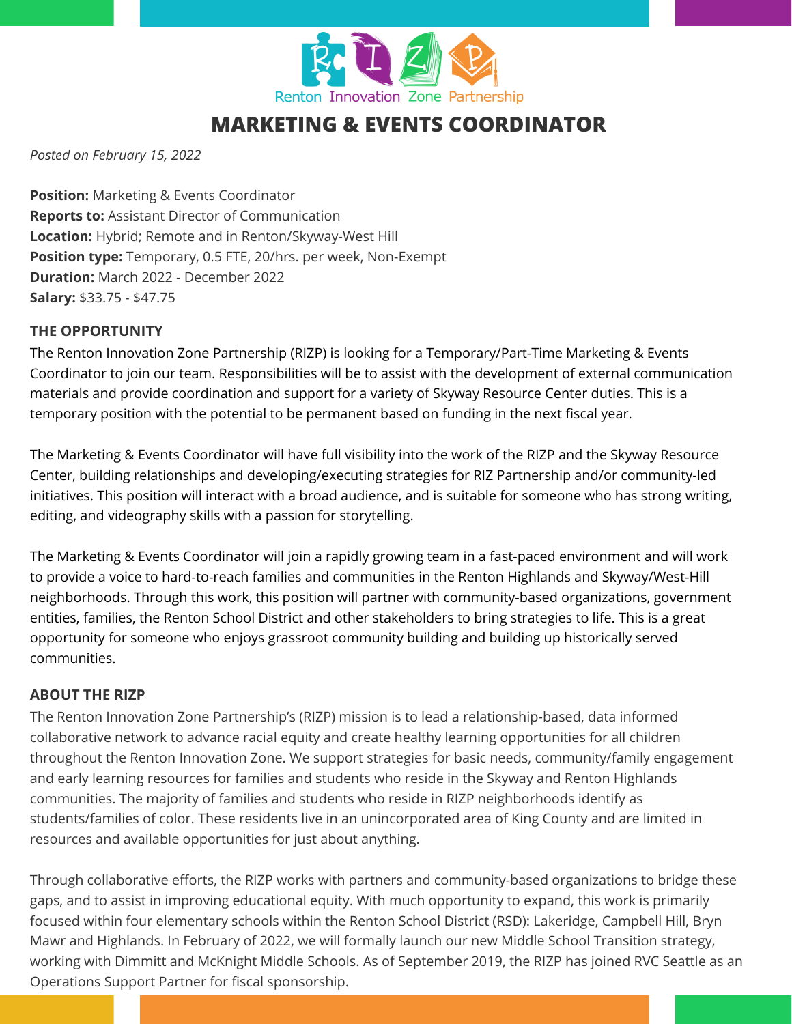

*Posted on February 15, 2022*

**Position:** Marketing & Events Coordinator **Reports to:** Assistant Director of Communication **Location:** Hybrid; Remote and in Renton/Skyway-West Hill **Position type:** Temporary, 0.5 FTE, 20/hrs. per week, Non-Exempt **Duration:** March 2022 - December 2022 **Salary:** \$33.75 - \$47.75

#### **THE OPPORTUNITY**

The Renton Innovation Zone Partnership (RIZP) is looking for a Temporary/Part-Time Marketing & Events Coordinator to join our team. Responsibilities will be to assist with the development of external communication materials and provide coordination and support for a variety of Skyway Resource Center duties. This is a temporary position with the potential to be permanent based on funding in the next fiscal year.

The Marketing & Events Coordinator will have full visibility into the work of the RIZP and the Skyway Resource Center, building relationships and developing/executing strategies for RIZ Partnership and/or community-led initiatives. This position will interact with a broad audience, and is suitable for someone who has strong writing, editing, and videography skills with a passion for storytelling.

The Marketing & Events Coordinator will join a rapidly growing team in a fast-paced environment and will work to provide a voice to hard-to-reach families and communities in the Renton Highlands and Skyway/West-Hill neighborhoods. Through this work, this position will partner with community-based organizations, government entities, families, the Renton School District and other stakeholders to bring strategies to life. This is a great opportunity for someone who enjoys grassroot community building and building up historically served communities.

#### **ABOUT THE RIZP**

The Renton Innovation Zone Partnership's (RIZP) mission is to lead a relationship-based, data informed collaborative network to advance racial equity and create healthy learning opportunities for all children throughout the Renton Innovation Zone. We support strategies for basic needs, community/family engagement and early learning resources for families and students who reside in the Skyway and Renton Highlands communities. The majority of families and students who reside in RIZP neighborhoods identify as students/families of color. These residents live in an unincorporated area of King County and are limited in resources and available opportunities for just about anything.

Through collaborative efforts, the RIZP works with partners and community-based organizations to bridge these gaps, and to assist in improving educational equity. With much opportunity to expand, this work is primarily focused within four elementary schools within the Renton School District (RSD): Lakeridge, Campbell Hill, Bryn Mawr and Highlands. In February of 2022, we will formally launch our new Middle School Transition strategy, working with Dimmitt and McKnight Middle Schools. As of September 2019, the RIZP has joined RVC Seattle as an Operations Support Partner for fiscal sponsorship.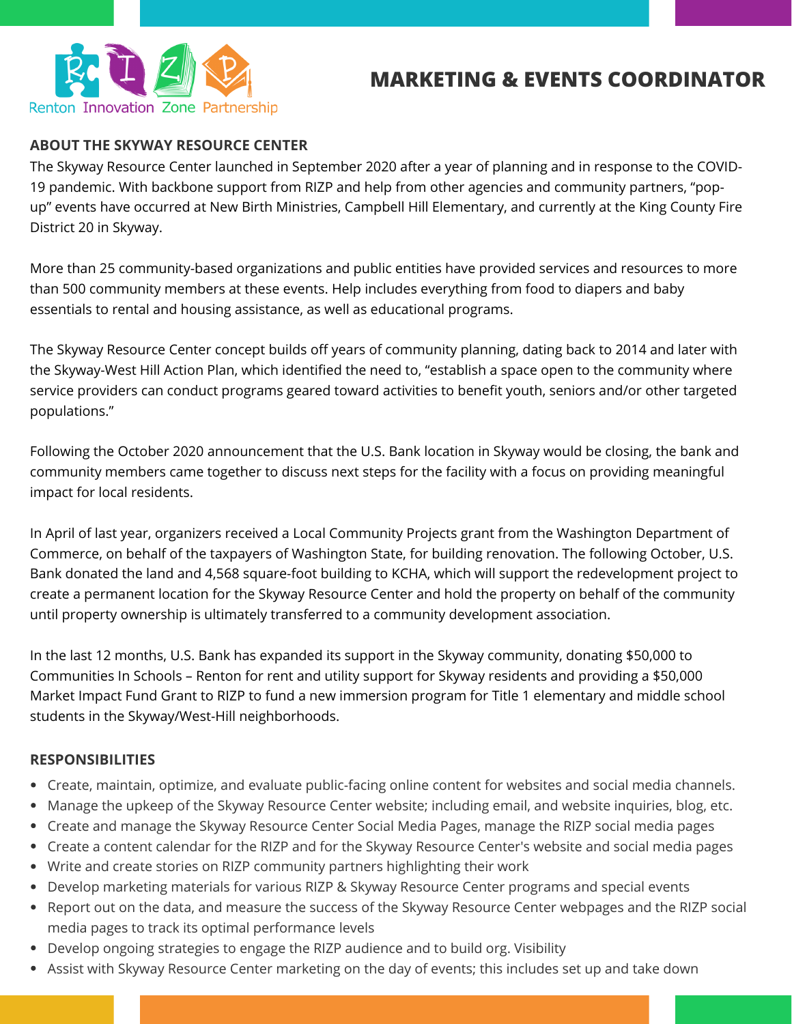

## **ABOUT THE SKYWAY RESOURCE CENTER**

The Skyway Resource Center launched in September 2020 after a year of planning and in response to the COVID-19 pandemic. With backbone support from RIZP and help from other agencies and community partners, "popup" events have occurred at New Birth Ministries, Campbell Hill Elementary, and currently at the King County Fire District 20 in Skyway.

More than 25 community-based organizations and public entities have provided services and resources to more than 500 community members at these events. Help includes everything from food to diapers and baby essentials to rental and housing assistance, as well as educational programs.

The Skyway Resource Center concept builds off years of community planning, dating back to 2014 and later with the Skyway-West Hill Action Plan, which identified the need to, "establish a space open to the community where service providers can conduct programs geared toward activities to benefit youth, seniors and/or other targeted populations."

Following the October 2020 announcement that the U.S. Bank location in Skyway would be closing, the bank and community members came together to discuss next steps for the facility with a focus on providing meaningful impact for local residents.

In April of last year, organizers received a Local Community Projects grant from the Washington Department of Commerce, on behalf of the taxpayers of Washington State, for building renovation. The following October, U.S. Bank donated the land and 4,568 square-foot building to KCHA, which will support the redevelopment project to create a permanent location for the Skyway Resource Center and hold the property on behalf of the community until property ownership is ultimately transferred to a community development association.

In the last 12 months, U.S. Bank has expanded its support in the Skyway community, donating \$50,000 to Communities In Schools – Renton for rent and utility support for Skyway residents and providing a \$50,000 Market Impact Fund Grant to RIZP to fund a new immersion program for Title 1 elementary and middle school students in the Skyway/West-Hill neighborhoods.

#### **RESPONSIBILITIES**

- Create, maintain, optimize, and evaluate public-facing online content for websites and social media channels.
- Manage the upkeep of the Skyway Resource Center website; including email, and website inquiries, blog, etc.
- Create and manage the Skyway Resource Center Social Media Pages, manage the RIZP social media pages
- Create a content calendar for the RIZP and for the Skyway Resource Center's website and social media pages
- Write and create stories on RIZP community partners highlighting their work
- Develop marketing materials for various RIZP & Skyway Resource Center programs and special events
- Report out on the data, and measure the success of the Skyway Resource Center webpages and the RIZP social media pages to track its optimal performance levels
- Develop ongoing strategies to engage the RIZP audience and to build org. Visibility
- Assist with Skyway Resource Center marketing on the day of events; this includes set up and take down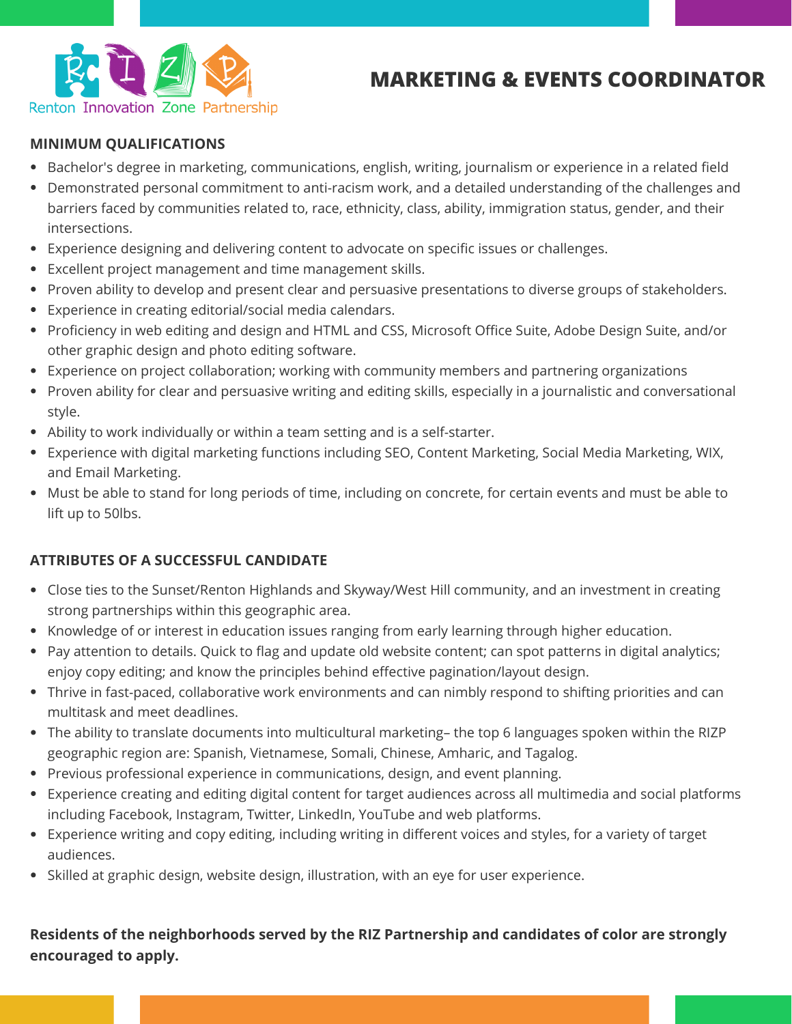

### **MINIMUM QUALIFICATIONS**

- Bachelor's degree in marketing, communications, english, writing, journalism or experience in a related field
- Demonstrated personal commitment to anti-racism work, and a detailed understanding of the challenges and barriers faced by communities related to, race, ethnicity, class, ability, immigration status, gender, and their intersections.
- Experience designing and delivering content to advocate on specific issues or challenges.
- Excellent project management and time management skills.
- Proven ability to develop and present clear and persuasive presentations to diverse groups of stakeholders.
- Experience in creating editorial/social media calendars.
- Proficiency in web editing and design and HTML and CSS, Microsoft Office Suite, Adobe Design Suite, and/or other graphic design and photo editing software.
- Experience on project collaboration; working with community members and partnering organizations
- Proven ability for clear and persuasive writing and editing skills, especially in a journalistic and conversational style.
- Ability to work individually or within a team setting and is a self-starter.
- Experience with digital marketing functions including SEO, Content Marketing, Social Media Marketing, WIX, and Email Marketing.
- Must be able to stand for long periods of time, including on concrete, for certain events and must be able to lift up to 50lbs.

## **ATTRIBUTES OF A SUCCESSFUL CANDIDATE**

- Close ties to the Sunset/Renton Highlands and Skyway/West Hill community, and an investment in creating strong partnerships within this geographic area.
- Knowledge of or interest in education issues ranging from early learning through higher education.
- Pay attention to details. Quick to flag and update old website content; can spot patterns in digital analytics; enjoy copy editing; and know the principles behind effective pagination/layout design.
- Thrive in fast-paced, collaborative work environments and can nimbly respond to shifting priorities and can multitask and meet deadlines.
- The ability to translate documents into multicultural marketing– the top 6 languages spoken within the RIZP geographic region are: Spanish, Vietnamese, Somali, Chinese, Amharic, and Tagalog.
- Previous professional experience in communications, design, and event planning.
- Experience creating and editing digital content for target audiences across all multimedia and social platforms including Facebook, Instagram, Twitter, LinkedIn, YouTube and web platforms.
- Experience writing and copy editing, including writing in different voices and styles, for a variety of target audiences.
- Skilled at graphic design, website design, illustration, with an eye for user experience.

## **Residents of the neighborhoods served by the RIZ Partnership and candidates of color are strongly encouraged to apply.**